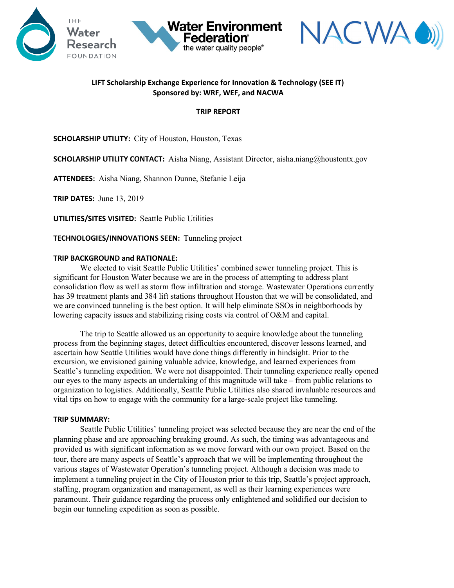



## **LIFT Scholarship Exchange Experience for Innovation & Technology (SEE IT) Sponsored by: WRF, WEF, and NACWA**

**Water Environment** 

the water quality people®

## **TRIP REPORT**

**SCHOLARSHIP UTILITY:** City of Houston, Houston, Texas

**SCHOLARSHIP UTILITY CONTACT:** Aisha Niang, Assistant Director, aisha.niang@houstontx.gov

**ATTENDEES:** Aisha Niang, Shannon Dunne, Stefanie Leija

**TRIP DATES:** June 13, 2019

**UTILITIES/SITES VISITED:** Seattle Public Utilities

**TECHNOLOGIES/INNOVATIONS SEEN:** Tunneling project

## **TRIP BACKGROUND and RATIONALE:**

We elected to visit Seattle Public Utilities' combined sewer tunneling project. This is significant for Houston Water because we are in the process of attempting to address plant consolidation flow as well as storm flow infiltration and storage. Wastewater Operations currently has 39 treatment plants and 384 lift stations throughout Houston that we will be consolidated, and we are convinced tunneling is the best option. It will help eliminate SSOs in neighborhoods by lowering capacity issues and stabilizing rising costs via control of O&M and capital.

The trip to Seattle allowed us an opportunity to acquire knowledge about the tunneling process from the beginning stages, detect difficulties encountered, discover lessons learned, and ascertain how Seattle Utilities would have done things differently in hindsight. Prior to the excursion, we envisioned gaining valuable advice, knowledge, and learned experiences from Seattle's tunneling expedition. We were not disappointed. Their tunneling experience really opened our eyes to the many aspects an undertaking of this magnitude will take – from public relations to organization to logistics. Additionally, Seattle Public Utilities also shared invaluable resources and vital tips on how to engage with the community for a large-scale project like tunneling.

## **TRIP SUMMARY:**

Seattle Public Utilities' tunneling project was selected because they are near the end of the planning phase and are approaching breaking ground. As such, the timing was advantageous and provided us with significant information as we move forward with our own project. Based on the tour, there are many aspects of Seattle's approach that we will be implementing throughout the various stages of Wastewater Operation's tunneling project. Although a decision was made to implement a tunneling project in the City of Houston prior to this trip, Seattle's project approach, staffing, program organization and management, as well as their learning experiences were paramount. Their guidance regarding the process only enlightened and solidified our decision to begin our tunneling expedition as soon as possible.